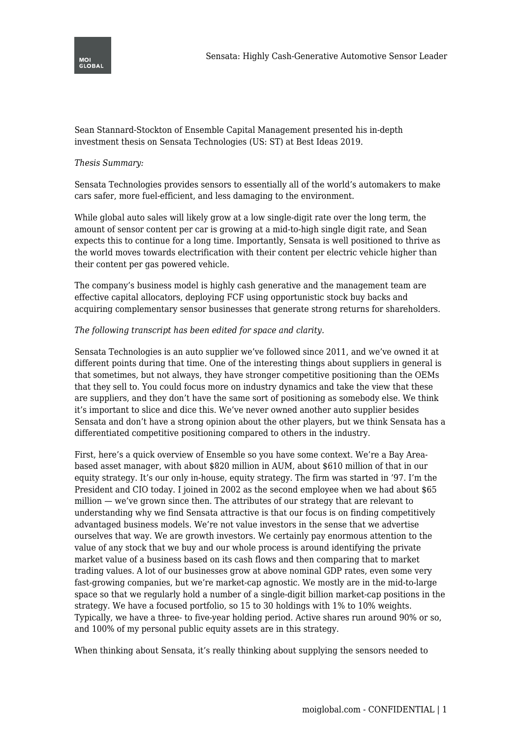

Sean Stannard-Stockton of Ensemble Capital Management presented his in-depth investment thesis on Sensata Technologies (US: ST) at Best Ideas 2019.

## *Thesis Summary:*

Sensata Technologies provides sensors to essentially all of the world's automakers to make cars safer, more fuel-efficient, and less damaging to the environment.

While global auto sales will likely grow at a low single-digit rate over the long term, the amount of sensor content per car is growing at a mid-to-high single digit rate, and Sean expects this to continue for a long time. Importantly, Sensata is well positioned to thrive as the world moves towards electrification with their content per electric vehicle higher than their content per gas powered vehicle.

The company's business model is highly cash generative and the management team are effective capital allocators, deploying FCF using opportunistic stock buy backs and acquiring complementary sensor businesses that generate strong returns for shareholders.

## *The following transcript has been edited for space and clarity.*

Sensata Technologies is an auto supplier we've followed since 2011, and we've owned it at different points during that time. One of the interesting things about suppliers in general is that sometimes, but not always, they have stronger competitive positioning than the OEMs that they sell to. You could focus more on industry dynamics and take the view that these are suppliers, and they don't have the same sort of positioning as somebody else. We think it's important to slice and dice this. We've never owned another auto supplier besides Sensata and don't have a strong opinion about the other players, but we think Sensata has a differentiated competitive positioning compared to others in the industry.

First, here's a quick overview of Ensemble so you have some context. We're a Bay Areabased asset manager, with about \$820 million in AUM, about \$610 million of that in our equity strategy. It's our only in-house, equity strategy. The firm was started in '97. I'm the President and CIO today. I joined in 2002 as the second employee when we had about \$65 million — we've grown since then. The attributes of our strategy that are relevant to understanding why we find Sensata attractive is that our focus is on finding competitively advantaged business models. We're not value investors in the sense that we advertise ourselves that way. We are growth investors. We certainly pay enormous attention to the value of any stock that we buy and our whole process is around identifying the private market value of a business based on its cash flows and then comparing that to market trading values. A lot of our businesses grow at above nominal GDP rates, even some very fast-growing companies, but we're market-cap agnostic. We mostly are in the mid-to-large space so that we regularly hold a number of a single-digit billion market-cap positions in the strategy. We have a focused portfolio, so 15 to 30 holdings with 1% to 10% weights. Typically, we have a three- to five-year holding period. Active shares run around 90% or so, and 100% of my personal public equity assets are in this strategy.

When thinking about Sensata, it's really thinking about supplying the sensors needed to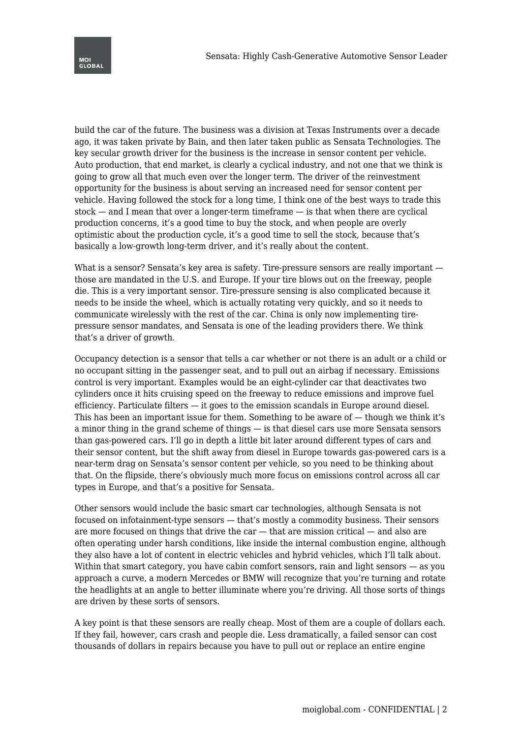build the car of the future. The business was a division at Texas Instruments over a decade ago, it was taken private by Bain, and then later taken public as Sensata Technologies. The key secular growth driver for the business is the increase in sensor content per vehicle. Auto production, that end market, is clearly a cyclical industry, and not one that we think is going to grow all that much even over the longer term. The driver of the reinvestment opportunity for the business is about serving an increased need for sensor content per vehicle. Having followed the stock for a long time, I think one of the best ways to trade this stock — and I mean that over a longer-term timeframe — is that when there are cyclical production concerns, it's a good time to buy the stock, and when people are overly optimistic about the production cycle, it's a good time to sell the stock, because that's basically a low-growth long-term driver, and it's really about the content.

What is a sensor? Sensata's key area is safety. Tire-pressure sensors are really important  $$ those are mandated in the U.S. and Europe. If your tire blows out on the freeway, people die. This is a very important sensor. Tire-pressure sensing is also complicated because it needs to be inside the wheel, which is actually rotating very quickly, and so it needs to communicate wirelessly with the rest of the car. China is only now implementing tirepressure sensor mandates, and Sensata is one of the leading providers there. We think that's a driver of growth.

Occupancy detection is a sensor that tells a car whether or not there is an adult or a child or no occupant sitting in the passenger seat, and to pull out an airbag if necessary. Emissions control is very important. Examples would be an eight-cylinder car that deactivates two cylinders once it hits cruising speed on the freeway to reduce emissions and improve fuel efficiency. Particulate filters — it goes to the emission scandals in Europe around diesel. This has been an important issue for them. Something to be aware of — though we think it's a minor thing in the grand scheme of things — is that diesel cars use more Sensata sensors than gas-powered cars. I'll go in depth a little bit later around different types of cars and their sensor content, but the shift away from diesel in Europe towards gas-powered cars is a near-term drag on Sensata's sensor content per vehicle, so you need to be thinking about that. On the flipside, there's obviously much more focus on emissions control across all car types in Europe, and that's a positive for Sensata.

Other sensors would include the basic smart car technologies, although Sensata is not focused on infotainment-type sensors — that's mostly a commodity business. Their sensors are more focused on things that drive the car — that are mission critical — and also are often operating under harsh conditions, like inside the internal combustion engine, although they also have a lot of content in electric vehicles and hybrid vehicles, which I'll talk about. Within that smart category, you have cabin comfort sensors, rain and light sensors — as you approach a curve, a modern Mercedes or BMW will recognize that you're turning and rotate the headlights at an angle to better illuminate where you're driving. All those sorts of things are driven by these sorts of sensors.

A key point is that these sensors are really cheap. Most of them are a couple of dollars each. If they fail, however, cars crash and people die. Less dramatically, a failed sensor can cost thousands of dollars in repairs because you have to pull out or replace an entire engine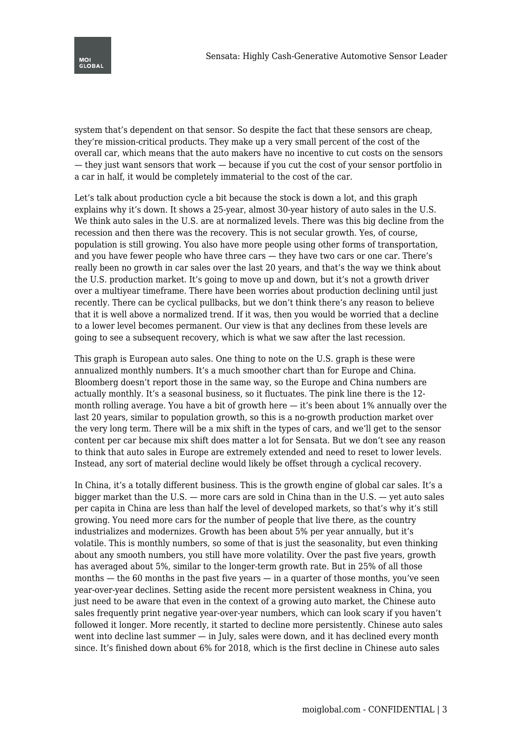system that's dependent on that sensor. So despite the fact that these sensors are cheap, they're mission-critical products. They make up a very small percent of the cost of the overall car, which means that the auto makers have no incentive to cut costs on the sensors — they just want sensors that work — because if you cut the cost of your sensor portfolio in a car in half, it would be completely immaterial to the cost of the car.

Let's talk about production cycle a bit because the stock is down a lot, and this graph explains why it's down. It shows a 25-year, almost 30-year history of auto sales in the U.S. We think auto sales in the U.S. are at normalized levels. There was this big decline from the recession and then there was the recovery. This is not secular growth. Yes, of course, population is still growing. You also have more people using other forms of transportation, and you have fewer people who have three cars — they have two cars or one car. There's really been no growth in car sales over the last 20 years, and that's the way we think about the U.S. production market. It's going to move up and down, but it's not a growth driver over a multiyear timeframe. There have been worries about production declining until just recently. There can be cyclical pullbacks, but we don't think there's any reason to believe that it is well above a normalized trend. If it was, then you would be worried that a decline to a lower level becomes permanent. Our view is that any declines from these levels are going to see a subsequent recovery, which is what we saw after the last recession.

This graph is European auto sales. One thing to note on the U.S. graph is these were annualized monthly numbers. It's a much smoother chart than for Europe and China. Bloomberg doesn't report those in the same way, so the Europe and China numbers are actually monthly. It's a seasonal business, so it fluctuates. The pink line there is the 12 month rolling average. You have a bit of growth here — it's been about 1% annually over the last 20 years, similar to population growth, so this is a no-growth production market over the very long term. There will be a mix shift in the types of cars, and we'll get to the sensor content per car because mix shift does matter a lot for Sensata. But we don't see any reason to think that auto sales in Europe are extremely extended and need to reset to lower levels. Instead, any sort of material decline would likely be offset through a cyclical recovery.

In China, it's a totally different business. This is the growth engine of global car sales. It's a bigger market than the U.S. — more cars are sold in China than in the U.S. — yet auto sales per capita in China are less than half the level of developed markets, so that's why it's still growing. You need more cars for the number of people that live there, as the country industrializes and modernizes. Growth has been about 5% per year annually, but it's volatile. This is monthly numbers, so some of that is just the seasonality, but even thinking about any smooth numbers, you still have more volatility. Over the past five years, growth has averaged about 5%, similar to the longer-term growth rate. But in 25% of all those months — the 60 months in the past five years — in a quarter of those months, you've seen year-over-year declines. Setting aside the recent more persistent weakness in China, you just need to be aware that even in the context of a growing auto market, the Chinese auto sales frequently print negative year-over-year numbers, which can look scary if you haven't followed it longer. More recently, it started to decline more persistently. Chinese auto sales went into decline last summer  $-$  in July, sales were down, and it has declined every month since. It's finished down about 6% for 2018, which is the first decline in Chinese auto sales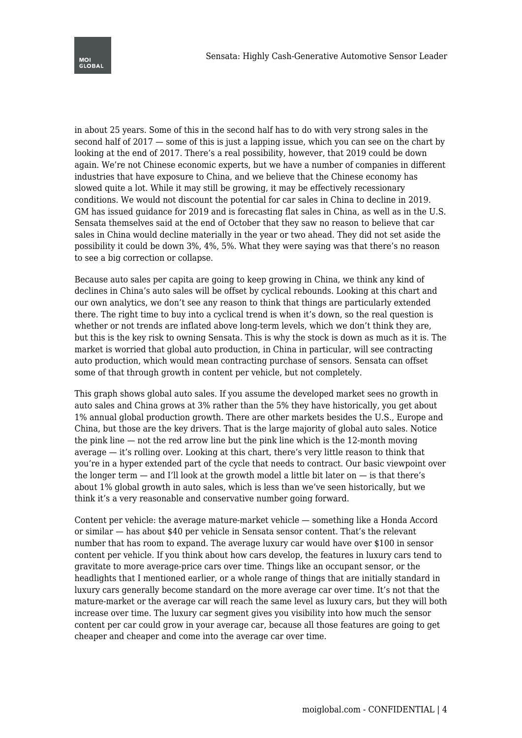in about 25 years. Some of this in the second half has to do with very strong sales in the second half of 2017 — some of this is just a lapping issue, which you can see on the chart by looking at the end of 2017. There's a real possibility, however, that 2019 could be down again. We're not Chinese economic experts, but we have a number of companies in different industries that have exposure to China, and we believe that the Chinese economy has slowed quite a lot. While it may still be growing, it may be effectively recessionary conditions. We would not discount the potential for car sales in China to decline in 2019. GM has issued guidance for 2019 and is forecasting flat sales in China, as well as in the U.S. Sensata themselves said at the end of October that they saw no reason to believe that car sales in China would decline materially in the year or two ahead. They did not set aside the possibility it could be down 3%, 4%, 5%. What they were saying was that there's no reason to see a big correction or collapse.

Because auto sales per capita are going to keep growing in China, we think any kind of declines in China's auto sales will be offset by cyclical rebounds. Looking at this chart and our own analytics, we don't see any reason to think that things are particularly extended there. The right time to buy into a cyclical trend is when it's down, so the real question is whether or not trends are inflated above long-term levels, which we don't think they are, but this is the key risk to owning Sensata. This is why the stock is down as much as it is. The market is worried that global auto production, in China in particular, will see contracting auto production, which would mean contracting purchase of sensors. Sensata can offset some of that through growth in content per vehicle, but not completely.

This graph shows global auto sales. If you assume the developed market sees no growth in auto sales and China grows at 3% rather than the 5% they have historically, you get about 1% annual global production growth. There are other markets besides the U.S., Europe and China, but those are the key drivers. That is the large majority of global auto sales. Notice the pink line — not the red arrow line but the pink line which is the 12-month moving average — it's rolling over. Looking at this chart, there's very little reason to think that you're in a hyper extended part of the cycle that needs to contract. Our basic viewpoint over the longer term  $-$  and I'll look at the growth model a little bit later on  $-$  is that there's about 1% global growth in auto sales, which is less than we've seen historically, but we think it's a very reasonable and conservative number going forward.

Content per vehicle: the average mature-market vehicle — something like a Honda Accord or similar — has about \$40 per vehicle in Sensata sensor content. That's the relevant number that has room to expand. The average luxury car would have over \$100 in sensor content per vehicle. If you think about how cars develop, the features in luxury cars tend to gravitate to more average-price cars over time. Things like an occupant sensor, or the headlights that I mentioned earlier, or a whole range of things that are initially standard in luxury cars generally become standard on the more average car over time. It's not that the mature-market or the average car will reach the same level as luxury cars, but they will both increase over time. The luxury car segment gives you visibility into how much the sensor content per car could grow in your average car, because all those features are going to get cheaper and cheaper and come into the average car over time.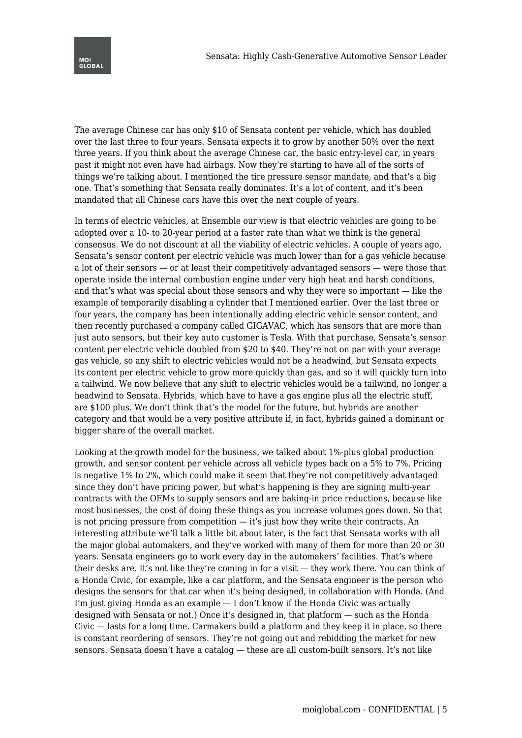The average Chinese car has only \$10 of Sensata content per vehicle, which has doubled over the last three to four years. Sensata expects it to grow by another 50% over the next three years. If you think about the average Chinese car, the basic entry-level car, in years past it might not even have had airbags. Now they're starting to have all of the sorts of things we're talking about. I mentioned the tire pressure sensor mandate, and that's a big one. That's something that Sensata really dominates. It's a lot of content, and it's been mandated that all Chinese cars have this over the next couple of years.

In terms of electric vehicles, at Ensemble our view is that electric vehicles are going to be adopted over a 10- to 20-year period at a faster rate than what we think is the general consensus. We do not discount at all the viability of electric vehicles. A couple of years ago, Sensata's sensor content per electric vehicle was much lower than for a gas vehicle because a lot of their sensors — or at least their competitively advantaged sensors — were those that operate inside the internal combustion engine under very high heat and harsh conditions, and that's what was special about those sensors and why they were so important — like the example of temporarily disabling a cylinder that I mentioned earlier. Over the last three or four years, the company has been intentionally adding electric vehicle sensor content, and then recently purchased a company called GIGAVAC, which has sensors that are more than just auto sensors, but their key auto customer is Tesla. With that purchase, Sensata's sensor content per electric vehicle doubled from \$20 to \$40. They're not on par with your average gas vehicle, so any shift to electric vehicles would not be a headwind, but Sensata expects its content per electric vehicle to grow more quickly than gas, and so it will quickly turn into a tailwind. We now believe that any shift to electric vehicles would be a tailwind, no longer a headwind to Sensata. Hybrids, which have to have a gas engine plus all the electric stuff, are \$100 plus. We don't think that's the model for the future, but hybrids are another category and that would be a very positive attribute if, in fact, hybrids gained a dominant or bigger share of the overall market.

Looking at the growth model for the business, we talked about 1%-plus global production growth, and sensor content per vehicle across all vehicle types back on a 5% to 7%. Pricing is negative 1% to 2%, which could make it seem that they're not competitively advantaged since they don't have pricing power, but what's happening is they are signing multi-year contracts with the OEMs to supply sensors and are baking-in price reductions, because like most businesses, the cost of doing these things as you increase volumes goes down. So that is not pricing pressure from competition — it's just how they write their contracts. An interesting attribute we'll talk a little bit about later, is the fact that Sensata works with all the major global automakers, and they've worked with many of them for more than 20 or 30 years. Sensata engineers go to work every day in the automakers' facilities. That's where their desks are. It's not like they're coming in for a visit — they work there. You can think of a Honda Civic, for example, like a car platform, and the Sensata engineer is the person who designs the sensors for that car when it's being designed, in collaboration with Honda. (And I'm just giving Honda as an example — I don't know if the Honda Civic was actually designed with Sensata or not.) Once it's designed in, that platform — such as the Honda Civic — lasts for a long time. Carmakers build a platform and they keep it in place, so there is constant reordering of sensors. They're not going out and rebidding the market for new sensors. Sensata doesn't have a catalog — these are all custom-built sensors. It's not like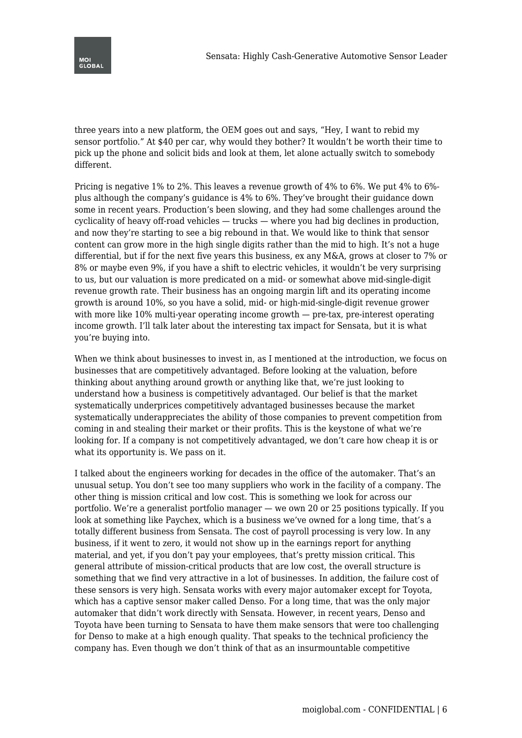

three years into a new platform, the OEM goes out and says, "Hey, I want to rebid my sensor portfolio." At \$40 per car, why would they bother? It wouldn't be worth their time to pick up the phone and solicit bids and look at them, let alone actually switch to somebody different.

Pricing is negative 1% to 2%. This leaves a revenue growth of 4% to 6%. We put 4% to 6% plus although the company's guidance is 4% to 6%. They've brought their guidance down some in recent years. Production's been slowing, and they had some challenges around the cyclicality of heavy off-road vehicles — trucks — where you had big declines in production, and now they're starting to see a big rebound in that. We would like to think that sensor content can grow more in the high single digits rather than the mid to high. It's not a huge differential, but if for the next five years this business, ex any M&A, grows at closer to 7% or 8% or maybe even 9%, if you have a shift to electric vehicles, it wouldn't be very surprising to us, but our valuation is more predicated on a mid- or somewhat above mid-single-digit revenue growth rate. Their business has an ongoing margin lift and its operating income growth is around 10%, so you have a solid, mid- or high-mid-single-digit revenue grower with more like 10% multi-year operating income growth — pre-tax, pre-interest operating income growth. I'll talk later about the interesting tax impact for Sensata, but it is what you're buying into.

When we think about businesses to invest in, as I mentioned at the introduction, we focus on businesses that are competitively advantaged. Before looking at the valuation, before thinking about anything around growth or anything like that, we're just looking to understand how a business is competitively advantaged. Our belief is that the market systematically underprices competitively advantaged businesses because the market systematically underappreciates the ability of those companies to prevent competition from coming in and stealing their market or their profits. This is the keystone of what we're looking for. If a company is not competitively advantaged, we don't care how cheap it is or what its opportunity is. We pass on it.

I talked about the engineers working for decades in the office of the automaker. That's an unusual setup. You don't see too many suppliers who work in the facility of a company. The other thing is mission critical and low cost. This is something we look for across our portfolio. We're a generalist portfolio manager — we own 20 or 25 positions typically. If you look at something like Paychex, which is a business we've owned for a long time, that's a totally different business from Sensata. The cost of payroll processing is very low. In any business, if it went to zero, it would not show up in the earnings report for anything material, and yet, if you don't pay your employees, that's pretty mission critical. This general attribute of mission-critical products that are low cost, the overall structure is something that we find very attractive in a lot of businesses. In addition, the failure cost of these sensors is very high. Sensata works with every major automaker except for Toyota, which has a captive sensor maker called Denso. For a long time, that was the only major automaker that didn't work directly with Sensata. However, in recent years, Denso and Toyota have been turning to Sensata to have them make sensors that were too challenging for Denso to make at a high enough quality. That speaks to the technical proficiency the company has. Even though we don't think of that as an insurmountable competitive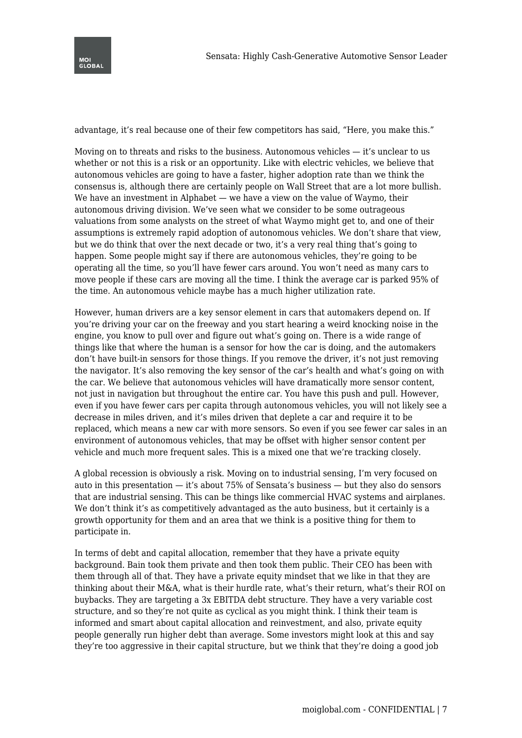advantage, it's real because one of their few competitors has said, "Here, you make this."

Moving on to threats and risks to the business. Autonomous vehicles — it's unclear to us whether or not this is a risk or an opportunity. Like with electric vehicles, we believe that autonomous vehicles are going to have a faster, higher adoption rate than we think the consensus is, although there are certainly people on Wall Street that are a lot more bullish. We have an investment in Alphabet — we have a view on the value of Waymo, their autonomous driving division. We've seen what we consider to be some outrageous valuations from some analysts on the street of what Waymo might get to, and one of their assumptions is extremely rapid adoption of autonomous vehicles. We don't share that view, but we do think that over the next decade or two, it's a very real thing that's going to happen. Some people might say if there are autonomous vehicles, they're going to be operating all the time, so you'll have fewer cars around. You won't need as many cars to move people if these cars are moving all the time. I think the average car is parked 95% of the time. An autonomous vehicle maybe has a much higher utilization rate.

However, human drivers are a key sensor element in cars that automakers depend on. If you're driving your car on the freeway and you start hearing a weird knocking noise in the engine, you know to pull over and figure out what's going on. There is a wide range of things like that where the human is a sensor for how the car is doing, and the automakers don't have built-in sensors for those things. If you remove the driver, it's not just removing the navigator. It's also removing the key sensor of the car's health and what's going on with the car. We believe that autonomous vehicles will have dramatically more sensor content, not just in navigation but throughout the entire car. You have this push and pull. However, even if you have fewer cars per capita through autonomous vehicles, you will not likely see a decrease in miles driven, and it's miles driven that deplete a car and require it to be replaced, which means a new car with more sensors. So even if you see fewer car sales in an environment of autonomous vehicles, that may be offset with higher sensor content per vehicle and much more frequent sales. This is a mixed one that we're tracking closely.

A global recession is obviously a risk. Moving on to industrial sensing, I'm very focused on auto in this presentation — it's about 75% of Sensata's business — but they also do sensors that are industrial sensing. This can be things like commercial HVAC systems and airplanes. We don't think it's as competitively advantaged as the auto business, but it certainly is a growth opportunity for them and an area that we think is a positive thing for them to participate in.

In terms of debt and capital allocation, remember that they have a private equity background. Bain took them private and then took them public. Their CEO has been with them through all of that. They have a private equity mindset that we like in that they are thinking about their M&A, what is their hurdle rate, what's their return, what's their ROI on buybacks. They are targeting a 3x EBITDA debt structure. They have a very variable cost structure, and so they're not quite as cyclical as you might think. I think their team is informed and smart about capital allocation and reinvestment, and also, private equity people generally run higher debt than average. Some investors might look at this and say they're too aggressive in their capital structure, but we think that they're doing a good job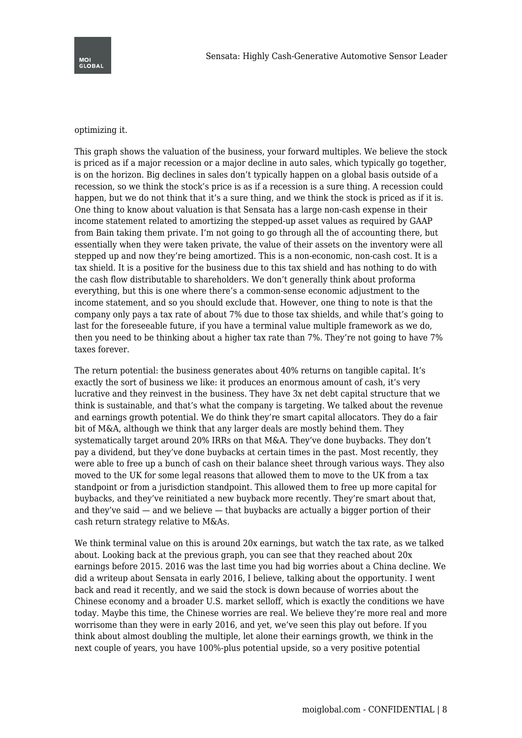## optimizing it.

This graph shows the valuation of the business, your forward multiples. We believe the stock is priced as if a major recession or a major decline in auto sales, which typically go together, is on the horizon. Big declines in sales don't typically happen on a global basis outside of a recession, so we think the stock's price is as if a recession is a sure thing. A recession could happen, but we do not think that it's a sure thing, and we think the stock is priced as if it is. One thing to know about valuation is that Sensata has a large non-cash expense in their income statement related to amortizing the stepped-up asset values as required by GAAP from Bain taking them private. I'm not going to go through all the of accounting there, but essentially when they were taken private, the value of their assets on the inventory were all stepped up and now they're being amortized. This is a non-economic, non-cash cost. It is a tax shield. It is a positive for the business due to this tax shield and has nothing to do with the cash flow distributable to shareholders. We don't generally think about proforma everything, but this is one where there's a common-sense economic adjustment to the income statement, and so you should exclude that. However, one thing to note is that the company only pays a tax rate of about 7% due to those tax shields, and while that's going to last for the foreseeable future, if you have a terminal value multiple framework as we do, then you need to be thinking about a higher tax rate than 7%. They're not going to have 7% taxes forever.

The return potential: the business generates about 40% returns on tangible capital. It's exactly the sort of business we like: it produces an enormous amount of cash, it's very lucrative and they reinvest in the business. They have 3x net debt capital structure that we think is sustainable, and that's what the company is targeting. We talked about the revenue and earnings growth potential. We do think they're smart capital allocators. They do a fair bit of M&A, although we think that any larger deals are mostly behind them. They systematically target around 20% IRRs on that M&A. They've done buybacks. They don't pay a dividend, but they've done buybacks at certain times in the past. Most recently, they were able to free up a bunch of cash on their balance sheet through various ways. They also moved to the UK for some legal reasons that allowed them to move to the UK from a tax standpoint or from a jurisdiction standpoint. This allowed them to free up more capital for buybacks, and they've reinitiated a new buyback more recently. They're smart about that, and they've said — and we believe — that buybacks are actually a bigger portion of their cash return strategy relative to M&As.

We think terminal value on this is around 20x earnings, but watch the tax rate, as we talked about. Looking back at the previous graph, you can see that they reached about 20x earnings before 2015. 2016 was the last time you had big worries about a China decline. We did a writeup about Sensata in early 2016, I believe, talking about the opportunity. I went back and read it recently, and we said the stock is down because of worries about the Chinese economy and a broader U.S. market selloff, which is exactly the conditions we have today. Maybe this time, the Chinese worries are real. We believe they're more real and more worrisome than they were in early 2016, and yet, we've seen this play out before. If you think about almost doubling the multiple, let alone their earnings growth, we think in the next couple of years, you have 100%-plus potential upside, so a very positive potential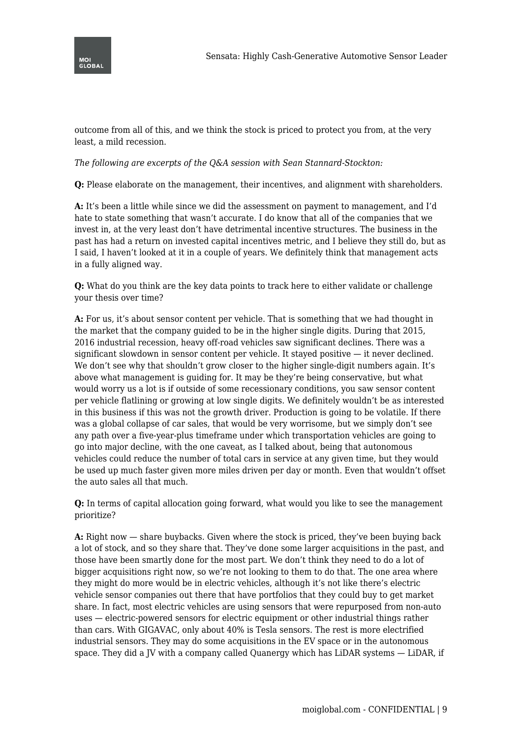

outcome from all of this, and we think the stock is priced to protect you from, at the very least, a mild recession.

*The following are excerpts of the Q&A session with Sean Stannard-Stockton:*

**Q:** Please elaborate on the management, their incentives, and alignment with shareholders.

**A:** It's been a little while since we did the assessment on payment to management, and I'd hate to state something that wasn't accurate. I do know that all of the companies that we invest in, at the very least don't have detrimental incentive structures. The business in the past has had a return on invested capital incentives metric, and I believe they still do, but as I said, I haven't looked at it in a couple of years. We definitely think that management acts in a fully aligned way.

**Q:** What do you think are the key data points to track here to either validate or challenge your thesis over time?

**A:** For us, it's about sensor content per vehicle. That is something that we had thought in the market that the company guided to be in the higher single digits. During that 2015, 2016 industrial recession, heavy off-road vehicles saw significant declines. There was a significant slowdown in sensor content per vehicle. It stayed positive — it never declined. We don't see why that shouldn't grow closer to the higher single-digit numbers again. It's above what management is guiding for. It may be they're being conservative, but what would worry us a lot is if outside of some recessionary conditions, you saw sensor content per vehicle flatlining or growing at low single digits. We definitely wouldn't be as interested in this business if this was not the growth driver. Production is going to be volatile. If there was a global collapse of car sales, that would be very worrisome, but we simply don't see any path over a five-year-plus timeframe under which transportation vehicles are going to go into major decline, with the one caveat, as I talked about, being that autonomous vehicles could reduce the number of total cars in service at any given time, but they would be used up much faster given more miles driven per day or month. Even that wouldn't offset the auto sales all that much.

**Q:** In terms of capital allocation going forward, what would you like to see the management prioritize?

**A:** Right now — share buybacks. Given where the stock is priced, they've been buying back a lot of stock, and so they share that. They've done some larger acquisitions in the past, and those have been smartly done for the most part. We don't think they need to do a lot of bigger acquisitions right now, so we're not looking to them to do that. The one area where they might do more would be in electric vehicles, although it's not like there's electric vehicle sensor companies out there that have portfolios that they could buy to get market share. In fact, most electric vehicles are using sensors that were repurposed from non-auto uses — electric-powered sensors for electric equipment or other industrial things rather than cars. With GIGAVAC, only about 40% is Tesla sensors. The rest is more electrified industrial sensors. They may do some acquisitions in the EV space or in the autonomous space. They did a JV with a company called Quanergy which has LiDAR systems  $-$  LiDAR, if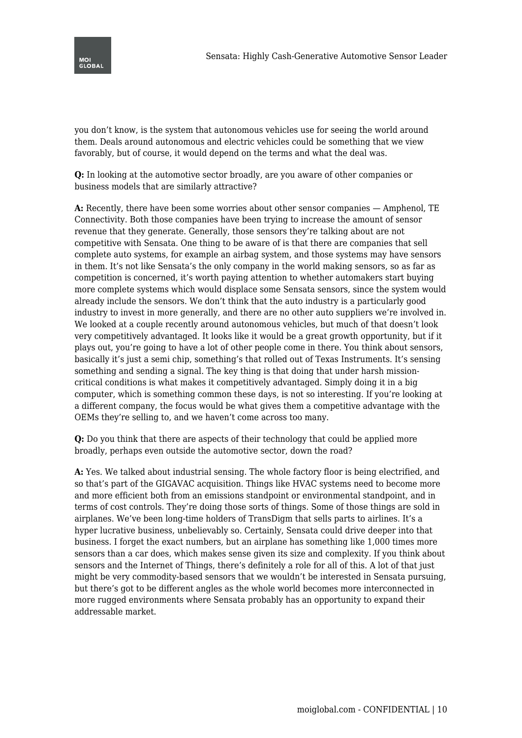

you don't know, is the system that autonomous vehicles use for seeing the world around them. Deals around autonomous and electric vehicles could be something that we view favorably, but of course, it would depend on the terms and what the deal was.

**Q:** In looking at the automotive sector broadly, are you aware of other companies or business models that are similarly attractive?

**A:** Recently, there have been some worries about other sensor companies — Amphenol, TE Connectivity. Both those companies have been trying to increase the amount of sensor revenue that they generate. Generally, those sensors they're talking about are not competitive with Sensata. One thing to be aware of is that there are companies that sell complete auto systems, for example an airbag system, and those systems may have sensors in them. It's not like Sensata's the only company in the world making sensors, so as far as competition is concerned, it's worth paying attention to whether automakers start buying more complete systems which would displace some Sensata sensors, since the system would already include the sensors. We don't think that the auto industry is a particularly good industry to invest in more generally, and there are no other auto suppliers we're involved in. We looked at a couple recently around autonomous vehicles, but much of that doesn't look very competitively advantaged. It looks like it would be a great growth opportunity, but if it plays out, you're going to have a lot of other people come in there. You think about sensors, basically it's just a semi chip, something's that rolled out of Texas Instruments. It's sensing something and sending a signal. The key thing is that doing that under harsh missioncritical conditions is what makes it competitively advantaged. Simply doing it in a big computer, which is something common these days, is not so interesting. If you're looking at a different company, the focus would be what gives them a competitive advantage with the OEMs they're selling to, and we haven't come across too many.

**Q:** Do you think that there are aspects of their technology that could be applied more broadly, perhaps even outside the automotive sector, down the road?

**A:** Yes. We talked about industrial sensing. The whole factory floor is being electrified, and so that's part of the GIGAVAC acquisition. Things like HVAC systems need to become more and more efficient both from an emissions standpoint or environmental standpoint, and in terms of cost controls. They're doing those sorts of things. Some of those things are sold in airplanes. We've been long-time holders of TransDigm that sells parts to airlines. It's a hyper lucrative business, unbelievably so. Certainly, Sensata could drive deeper into that business. I forget the exact numbers, but an airplane has something like 1,000 times more sensors than a car does, which makes sense given its size and complexity. If you think about sensors and the Internet of Things, there's definitely a role for all of this. A lot of that just might be very commodity-based sensors that we wouldn't be interested in Sensata pursuing, but there's got to be different angles as the whole world becomes more interconnected in more rugged environments where Sensata probably has an opportunity to expand their addressable market.